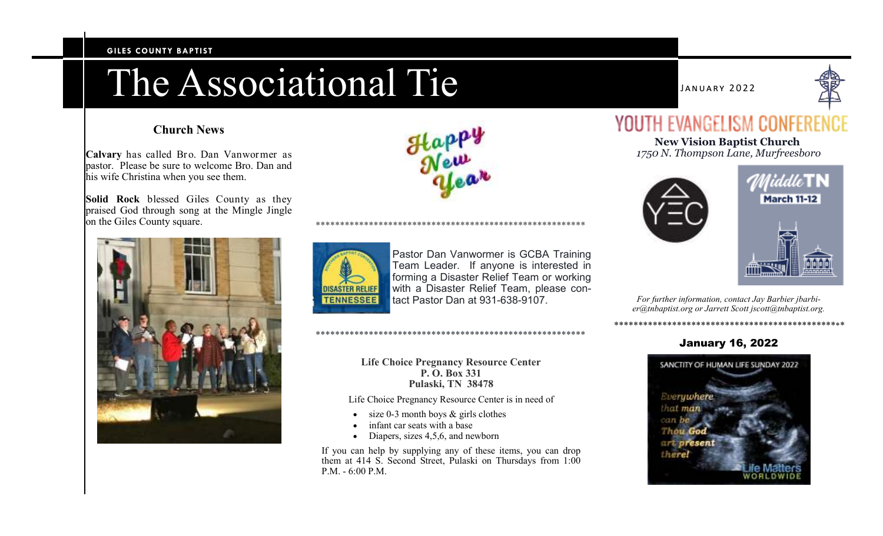#### **GILES COUNTY BAPTIST**

# The Associational Tie

# **Church News**

**Calvary** has called Bro. Dan Vanwormer as pastor. Please be sure to welcome Bro. Dan and his wife Christina when you see them.

**Solid Rock** blessed Giles County as they praised God through song at the Mingle Jingle on the Giles County square.







Pastor Dan Vanwormer is GCBA Training Team Leader. If anyone is interested in forming a Disaster Relief Team or working with a Disaster Relief Team, please contact Pastor Dan at 931-638-9107.

\*\*\*\*\*\*\*\*\*\*\*\*\*\*\*\*\*\*\*\*\*\*\*\*\*\*\*\*\*\*\*\*\*\*\*\*\*\*\*\*\*\*\*\*\*\*\*\*\*\*\*\*\*\*\*\*

### **Life Choice Pregnancy Resource Center P. O. Box 331 Pulaski, TN 38478**

Life Choice Pregnancy Resource Center is in need of

- $\cdot$  size 0-3 month boys & girls clothes
- infant car seats with a base

\*\*\*\*\*\*\*\*\*\*\*\*\*\*\*\*\*\*\*\*\*\*\*\*\*\*\*\*\*\*\*\*\*\*\*\*\*\*\*\*\*\*\*\*\*\*\*\*\*\*\*\*\*\*\*\*

• Diapers, sizes 4,5,6, and newborn

If you can help by supplying any of these items, you can drop them at 414 S. Second Street, Pulaski on Thursdays from 1:00 P.M. - 6:00 P.M.

NUARY 2022



# YOUTH EVANGELISM CONFER

**New Vision Baptist Church** *1750 N. Thompson Lane, Murfreesboro* 





*For further information, contact Jay Barbier jbarbier@tnbaptist.org or Jarrett Scott jscott@tnbaptist.org.* 

*\*\*\*\*\*\*\*\*\*\*\*\*\*\*\*\*\*\*\*\*\*\*\*\*\*\*\*\*\*\*\*\*\*\*\*\*\*\*\*\*\*\*\*\*\*\*\*\**

# January 16, 2022